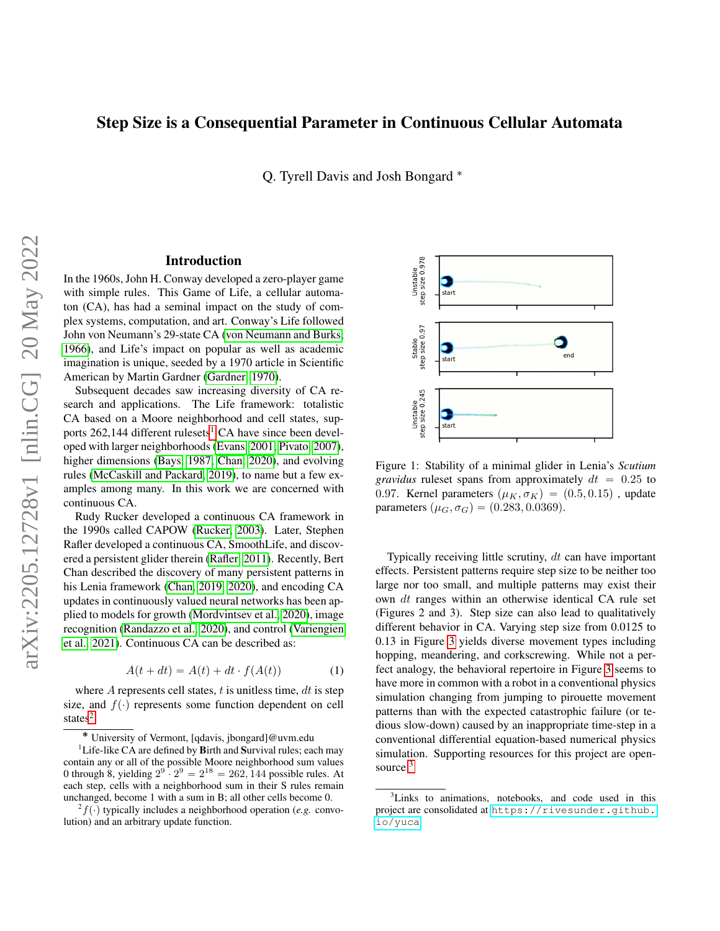# Step Size is a Consequential Parameter in Continuous Cellular Automata

Q. Tyrell Davis and Josh Bongard ˚

#### Introduction

In the 1960s, John H. Conway developed a zero-player game with simple rules. This Game of Life, a cellular automaton (CA), has had a seminal impact on the study of complex systems, computation, and art. Conway's Life followed John von Neumann's 29-state CA [\(von Neumann and Burks,](#page-2-0) [1966\)](#page-2-0), and Life's impact on popular as well as academic imagination is unique, seeded by a 1970 article in Scientific American by Martin Gardner [\(Gardner, 1970\)](#page-2-1).

Subsequent decades saw increasing diversity of CA research and applications. The Life framework: totalistic CA based on a Moore neighborhood and cell states, supports  $262,144$  $262,144$  $262,144$  different rulesets<sup>1</sup> CA have since been developed with larger neighborhoods [\(Evans, 2001;](#page-2-2) [Pivato, 2007\)](#page-2-3), higher dimensions [\(Bays, 1987;](#page-2-4) [Chan, 2020\)](#page-2-5), and evolving rules [\(McCaskill and Packard, 2019\)](#page-2-6), to name but a few examples among many. In this work we are concerned with continuous CA.

Rudy Rucker developed a continuous CA framework in the 1990s called CAPOW [\(Rucker, 2003\)](#page-2-7). Later, Stephen Rafler developed a continuous CA, SmoothLife, and discovered a persistent glider therein [\(Rafler, 2011\)](#page-2-8). Recently, Bert Chan described the discovery of many persistent patterns in his Lenia framework [\(Chan, 2019,](#page-2-9) [2020\)](#page-2-5), and encoding CA updates in continuously valued neural networks has been applied to models for growth [\(Mordvintsev et al., 2020\)](#page-2-10), image recognition [\(Randazzo et al., 2020\)](#page-2-11), and control [\(Variengien](#page-2-12) [et al., 2021\)](#page-2-12). Continuous CA can be described as:

$$
A(t + dt) = A(t) + dt \cdot f(A(t)) \tag{1}
$$

where  $A$  represents cell states,  $t$  is unitless time,  $dt$  is step size, and  $f(\cdot)$  represents some function dependent on cell states<sup>[2](#page-0-1)</sup>



<span id="page-0-3"></span>Figure 1: Stability of a minimal glider in Lenia's *Scutium gravidus* ruleset spans from approximately  $dt = 0.25$  to 0.97. Kernel parameters  $(\mu_K, \sigma_K) = (0.5, 0.15)$ , update parameters  $(\mu_G, \sigma_G) = (0.283, 0.0369)$ .

Typically receiving little scrutiny, dt can have important effects. Persistent patterns require step size to be neither too large nor too small, and multiple patterns may exist their own dt ranges within an otherwise identical CA rule set (Figures 2 and 3). Step size can also lead to qualitatively different behavior in CA. Varying step size from 0.0125 to 0.13 in Figure [3](#page-1-0) yields diverse movement types including hopping, meandering, and corkscrewing. While not a perfect analogy, the behavioral repertoire in Figure [3](#page-1-0) seems to have more in common with a robot in a conventional physics simulation changing from jumping to pirouette movement patterns than with the expected catastrophic failure (or tedious slow-down) caused by an inappropriate time-step in a conventional differential equation-based numerical physics simulation. Supporting resources for this project are open-source<sup>[3](#page-0-2)</sup>

<span id="page-0-0"></span><sup>˚</sup> University of Vermont, [qdavis, jbongard]@uvm.edu

<sup>&</sup>lt;sup>1</sup>Life-like CA are defined by Birth and Survival rules; each may contain any or all of the possible Moore neighborhood sum values 0 through 8, yielding  $2^9 \cdot 2^9 = 2^{18} = 262,144$  possible rules. At each step, cells with a neighborhood sum in their S rules remain unchanged, become 1 with a sum in B; all other cells become 0.

<span id="page-0-1"></span> $^{2} f(\cdot)$  typically includes a neighborhood operation (*e.g.* convolution) and an arbitrary update function.

<span id="page-0-2"></span><sup>&</sup>lt;sup>3</sup>Links to animations, notebooks, and code used in this project are consolidated at [https://rivesunder.github.](https://rivesunder.github.io/yuca) [io/yuca](https://rivesunder.github.io/yuca)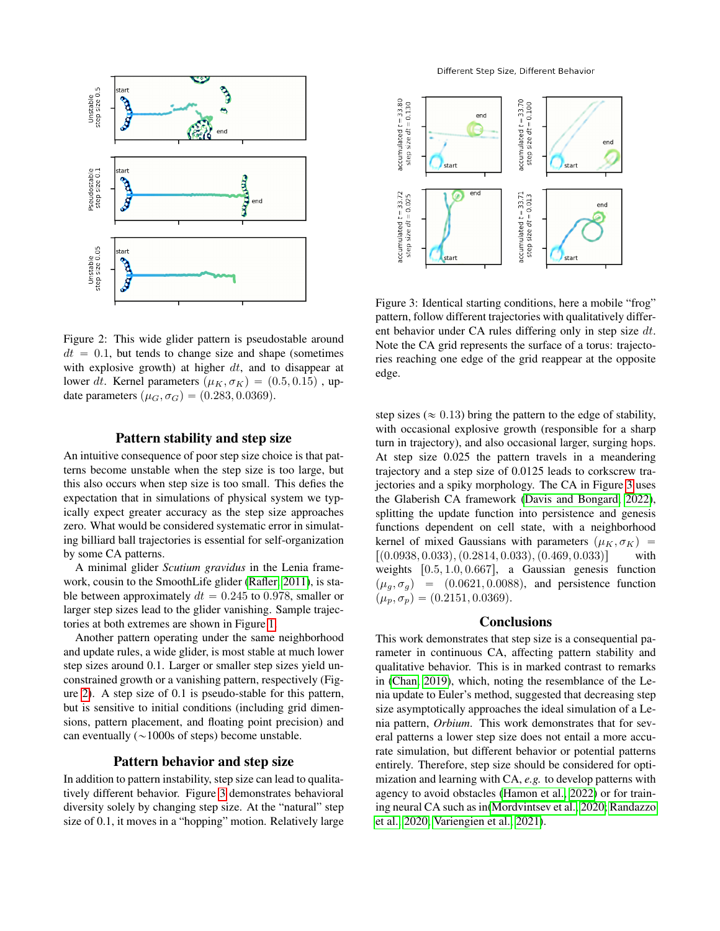

<span id="page-1-1"></span>Figure 2: This wide glider pattern is pseudostable around  $dt = 0.1$ , but tends to change size and shape (sometimes with explosive growth) at higher  $dt$ , and to disappear at lower dt. Kernel parameters  $(\mu_K, \sigma_K) = (0.5, 0.15)$ , update parameters  $(\mu_G, \sigma_G) = (0.283, 0.0369)$ .

#### Pattern stability and step size

An intuitive consequence of poor step size choice is that patterns become unstable when the step size is too large, but this also occurs when step size is too small. This defies the expectation that in simulations of physical system we typically expect greater accuracy as the step size approaches zero. What would be considered systematic error in simulating billiard ball trajectories is essential for self-organization by some CA patterns.

A minimal glider *Scutium gravidus* in the Lenia framework, cousin to the SmoothLife glider [\(Rafler, 2011\)](#page-2-8), is stable between approximately  $dt = 0.245$  to 0.978, smaller or larger step sizes lead to the glider vanishing. Sample trajectories at both extremes are shown in Figure [1.](#page-0-3)

Another pattern operating under the same neighborhood and update rules, a wide glider, is most stable at much lower step sizes around 0.1. Larger or smaller step sizes yield unconstrained growth or a vanishing pattern, respectively (Figure [2\)](#page-1-1). A step size of 0.1 is pseudo-stable for this pattern, but is sensitive to initial conditions (including grid dimensions, pattern placement, and floating point precision) and can eventually  $(\sim 1000s$  of steps) become unstable.

## Pattern behavior and step size

In addition to pattern instability, step size can lead to qualitatively different behavior. Figure [3](#page-1-0) demonstrates behavioral diversity solely by changing step size. At the "natural" step size of 0.1, it moves in a "hopping" motion. Relatively large



<span id="page-1-0"></span>Figure 3: Identical starting conditions, here a mobile "frog" pattern, follow different trajectories with qualitatively different behavior under CA rules differing only in step size  $dt$ . Note the CA grid represents the surface of a torus: trajectories reaching one edge of the grid reappear at the opposite edge.

step sizes ( $\approx 0.13$ ) bring the pattern to the edge of stability, with occasional explosive growth (responsible for a sharp turn in trajectory), and also occasional larger, surging hops. At step size 0.025 the pattern travels in a meandering trajectory and a step size of 0.0125 leads to corkscrew trajectories and a spiky morphology. The CA in Figure [3](#page-1-0) uses the Glaberish CA framework [\(Davis and Bongard, 2022\)](#page-2-13), splitting the update function into persistence and genesis functions dependent on cell state, with a neighborhood kernel of mixed Gaussians with parameters  $(\mu_K, \sigma_K)$  =  $[(0.0938, 0.033), (0.2814, 0.033), (0.469, 0.033)]$  with weights  $[0.5, 1.0, 0.667]$ , a Gaussian genesis function  $(\mu_q, \sigma_q)$  =  $(0.0621, 0.0088)$ , and persistence function  $(\mu_p, \sigma_p) = (0.2151, 0.0369).$ 

#### **Conclusions**

This work demonstrates that step size is a consequential parameter in continuous CA, affecting pattern stability and qualitative behavior. This is in marked contrast to remarks in [\(Chan, 2019\)](#page-2-9), which, noting the resemblance of the Lenia update to Euler's method, suggested that decreasing step size asymptotically approaches the ideal simulation of a Lenia pattern, *Orbium*. This work demonstrates that for several patterns a lower step size does not entail a more accurate simulation, but different behavior or potential patterns entirely. Therefore, step size should be considered for optimization and learning with CA, *e.g.* to develop patterns with agency to avoid obstacles [\(Hamon et al., 2022\)](#page-2-14) or for training neural CA such as in[\(Mordvintsev et al., 2020;](#page-2-10) [Randazzo](#page-2-11) [et al., 2020;](#page-2-11) [Variengien et al., 2021\)](#page-2-12).